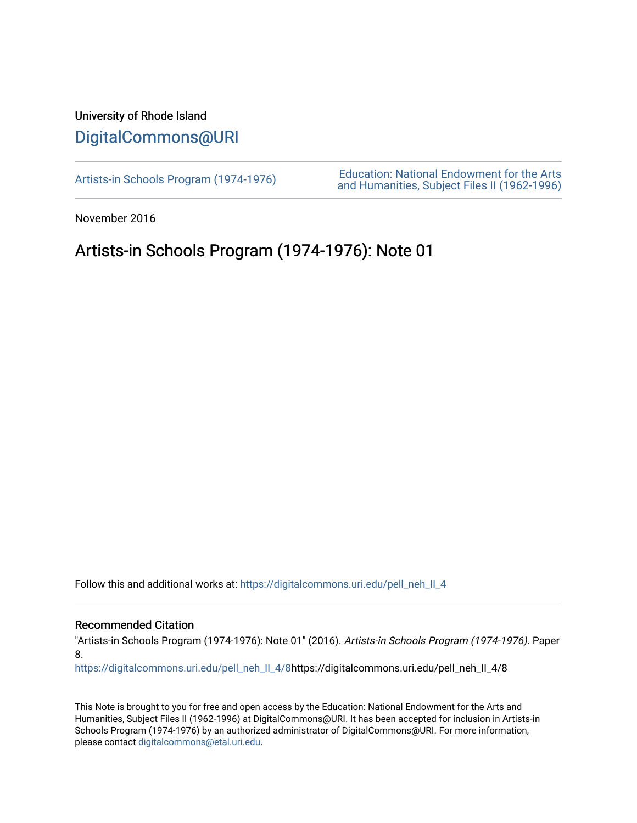## University of Rhode Island [DigitalCommons@URI](https://digitalcommons.uri.edu/)

[Artists-in Schools Program \(1974-1976\)](https://digitalcommons.uri.edu/pell_neh_II_4) [Education: National Endowment for the Arts](https://digitalcommons.uri.edu/pell_neh_II)  [and Humanities, Subject Files II \(1962-1996\)](https://digitalcommons.uri.edu/pell_neh_II) 

November 2016

## Artists-in Schools Program (1974-1976): Note 01

Follow this and additional works at: [https://digitalcommons.uri.edu/pell\\_neh\\_II\\_4](https://digitalcommons.uri.edu/pell_neh_II_4?utm_source=digitalcommons.uri.edu%2Fpell_neh_II_4%2F8&utm_medium=PDF&utm_campaign=PDFCoverPages) 

## Recommended Citation

"Artists-in Schools Program (1974-1976): Note 01" (2016). Artists-in Schools Program (1974-1976). Paper 8.

[https://digitalcommons.uri.edu/pell\\_neh\\_II\\_4/8](https://digitalcommons.uri.edu/pell_neh_II_4/8?utm_source=digitalcommons.uri.edu%2Fpell_neh_II_4%2F8&utm_medium=PDF&utm_campaign=PDFCoverPages)https://digitalcommons.uri.edu/pell\_neh\_II\_4/8

This Note is brought to you for free and open access by the Education: National Endowment for the Arts and Humanities, Subject Files II (1962-1996) at DigitalCommons@URI. It has been accepted for inclusion in Artists-in Schools Program (1974-1976) by an authorized administrator of DigitalCommons@URI. For more information, please contact [digitalcommons@etal.uri.edu.](mailto:digitalcommons@etal.uri.edu)